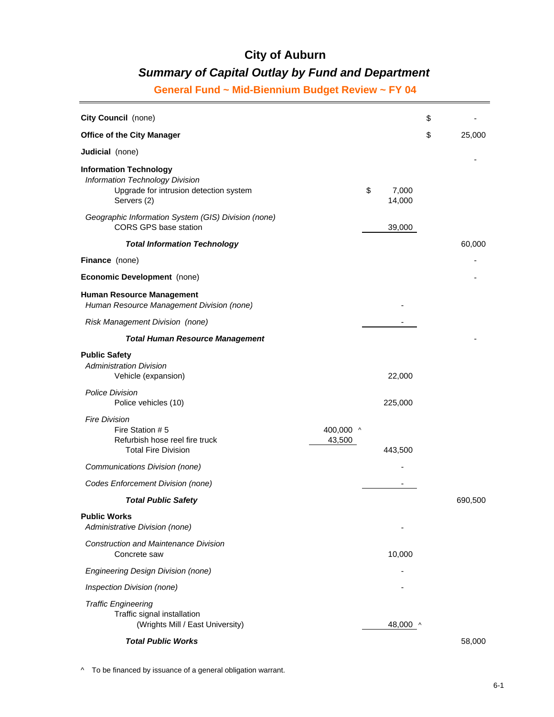# *Summary of Capital Outlay by Fund and Department*

**General Fund ~ Mid-Biennium Budget Review ~ FY 04**

| City Council (none)                                                                                                       |                     |                       | \$           |
|---------------------------------------------------------------------------------------------------------------------------|---------------------|-----------------------|--------------|
| <b>Office of the City Manager</b>                                                                                         |                     |                       | \$<br>25,000 |
| Judicial (none)                                                                                                           |                     |                       |              |
| <b>Information Technology</b><br>Information Technology Division<br>Upgrade for intrusion detection system<br>Servers (2) |                     | \$<br>7,000<br>14,000 |              |
| Geographic Information System (GIS) Division (none)<br><b>CORS GPS base station</b>                                       |                     | 39,000                |              |
| <b>Total Information Technology</b>                                                                                       |                     |                       | 60,000       |
| <b>Finance</b> (none)                                                                                                     |                     |                       |              |
| Economic Development (none)                                                                                               |                     |                       |              |
| <b>Human Resource Management</b><br>Human Resource Management Division (none)                                             |                     |                       |              |
| <b>Risk Management Division (none)</b>                                                                                    |                     |                       |              |
| <b>Total Human Resource Management</b>                                                                                    |                     |                       |              |
| <b>Public Safety</b><br><b>Administration Division</b><br>Vehicle (expansion)                                             |                     | 22,000                |              |
| <b>Police Division</b><br>Police vehicles (10)                                                                            |                     | 225,000               |              |
| <b>Fire Division</b><br>Fire Station # 5<br>Refurbish hose reel fire truck<br><b>Total Fire Division</b>                  | 400,000 ^<br>43,500 | 443,500               |              |
| Communications Division (none)                                                                                            |                     |                       |              |
| Codes Enforcement Division (none)                                                                                         |                     |                       |              |
| <b>Total Public Safety</b>                                                                                                |                     |                       | 690,500      |
| <b>Public Works</b><br>Administrative Division (none)                                                                     |                     |                       |              |
| <b>Construction and Maintenance Division</b><br>Concrete saw                                                              |                     | 10,000                |              |
| <b>Engineering Design Division (none)</b>                                                                                 |                     |                       |              |
| Inspection Division (none)                                                                                                |                     |                       |              |
| <b>Traffic Engineering</b><br>Traffic signal installation<br>(Wrights Mill / East University)                             |                     | 48,000 ^              |              |
| <b>Total Public Works</b>                                                                                                 |                     |                       | 58,000       |

^ To be financed by issuance of a general obligation warrant.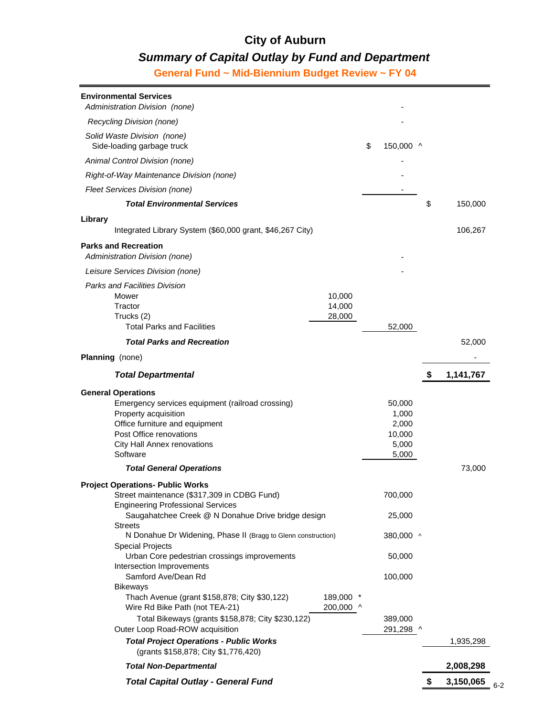# *Summary of Capital Outlay by Fund and Department*

**General Fund ~ Mid-Biennium Budget Review ~ FY 04**

| <b>Environmental Services</b><br>Administration Division (none)                                                  |                        |                      |    |           |     |
|------------------------------------------------------------------------------------------------------------------|------------------------|----------------------|----|-----------|-----|
| Recycling Division (none)                                                                                        |                        |                      |    |           |     |
| Solid Waste Division (none)<br>Side-loading garbage truck                                                        |                        | \$<br>150,000 ^      |    |           |     |
| Animal Control Division (none)                                                                                   |                        |                      |    |           |     |
| Right-of-Way Maintenance Division (none)                                                                         |                        |                      |    |           |     |
| Fleet Services Division (none)                                                                                   |                        |                      |    |           |     |
| <b>Total Environmental Services</b>                                                                              |                        |                      | \$ | 150,000   |     |
| Library<br>Integrated Library System (\$60,000 grant, \$46,267 City)                                             |                        |                      |    | 106,267   |     |
| <b>Parks and Recreation</b><br>Administration Division (none)                                                    |                        |                      |    |           |     |
| Leisure Services Division (none)                                                                                 |                        |                      |    |           |     |
| <b>Parks and Facilities Division</b>                                                                             |                        |                      |    |           |     |
| Mower<br>Tractor                                                                                                 | 10,000<br>14,000       |                      |    |           |     |
| Trucks (2)<br><b>Total Parks and Facilities</b>                                                                  | 28,000                 | 52,000               |    |           |     |
| <b>Total Parks and Recreation</b>                                                                                |                        |                      |    | 52,000    |     |
| <b>Planning</b> (none)                                                                                           |                        |                      |    |           |     |
| <b>Total Departmental</b>                                                                                        |                        |                      | S  | 1,141,767 |     |
| <b>General Operations</b>                                                                                        |                        |                      |    |           |     |
| Emergency services equipment (railroad crossing)<br>Property acquisition                                         |                        | 50,000<br>1,000      |    |           |     |
| Office furniture and equipment                                                                                   |                        | 2,000                |    |           |     |
| Post Office renovations                                                                                          |                        | 10,000               |    |           |     |
| City Hall Annex renovations                                                                                      |                        | 5,000                |    |           |     |
| Software                                                                                                         |                        | 5,000                |    |           |     |
| <b>Total General Operations</b>                                                                                  |                        |                      |    | 73,000    |     |
| <b>Project Operations- Public Works</b><br>Street maintenance (\$317,309 in CDBG Fund)                           |                        | 700,000              |    |           |     |
| <b>Engineering Professional Services</b><br>Saugahatchee Creek @ N Donahue Drive bridge design<br><b>Streets</b> |                        | 25,000               |    |           |     |
| N Donahue Dr Widening, Phase II (Bragg to Glenn construction)<br><b>Special Projects</b>                         |                        | 380,000 ^            |    |           |     |
| Urban Core pedestrian crossings improvements<br>Intersection Improvements                                        |                        | 50,000               |    |           |     |
| Samford Ave/Dean Rd<br><b>Bikeways</b>                                                                           |                        | 100,000              |    |           |     |
| Thach Avenue (grant \$158,878; City \$30,122)<br>Wire Rd Bike Path (not TEA-21)                                  | 189,000 *<br>200,000 ^ |                      |    |           |     |
| Total Bikeways (grants \$158,878; City \$230,122)<br>Outer Loop Road-ROW acquisition                             |                        | 389,000<br>291,298 ^ |    |           |     |
| <b>Total Project Operations - Public Works</b><br>(grants \$158,878; City \$1,776,420)                           |                        |                      |    | 1,935,298 |     |
| <b>Total Non-Departmental</b>                                                                                    |                        |                      |    | 2,008,298 |     |
| <b>Total Capital Outlay - General Fund</b>                                                                       |                        |                      |    | 3,150,065 | 6-2 |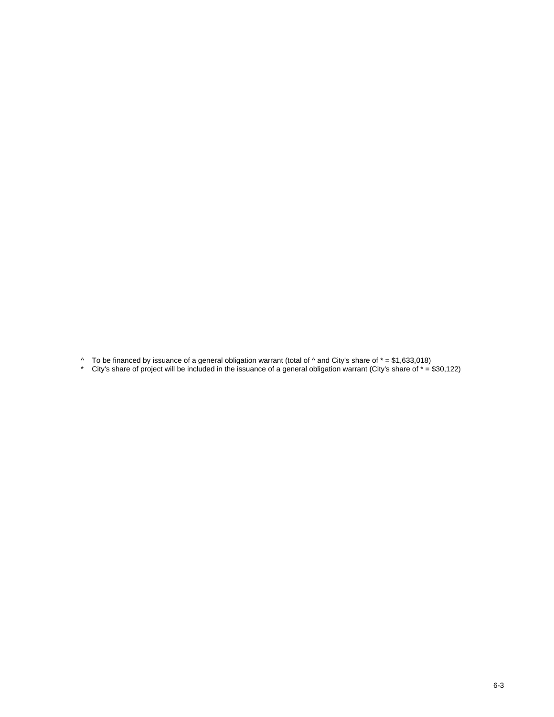^ To be financed by issuance of a general obligation warrant (total of ^ and City's share of \* = \$1,633,018)

\* City's share of project will be included in the issuance of a general obligation warrant (City's share of \* = \$30,122)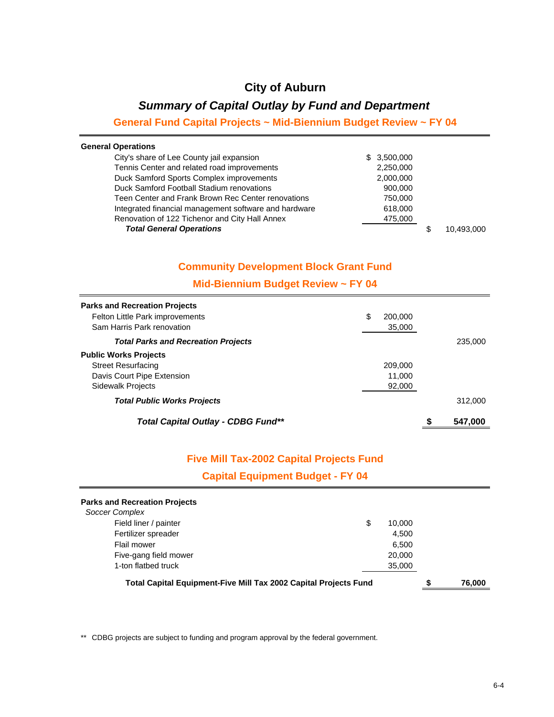### *Summary of Capital Outlay by Fund and Department*

### **General Fund Capital Projects ~ Mid-Biennium Budget Review ~ FY 04**

| <b>General Operations</b>                             |             |            |
|-------------------------------------------------------|-------------|------------|
| City's share of Lee County jail expansion             | \$3,500,000 |            |
| Tennis Center and related road improvements           | 2,250,000   |            |
| Duck Samford Sports Complex improvements              | 2,000,000   |            |
| Duck Samford Football Stadium renovations             | 900,000     |            |
| Teen Center and Frank Brown Rec Center renovations    | 750,000     |            |
| Integrated financial management software and hardware | 618,000     |            |
| Renovation of 122 Tichenor and City Hall Annex        | 475,000     |            |
| <b>Total General Operations</b>                       |             | 10.493.000 |

#### **Community Development Block Grant Fund**

#### **Mid-Biennium Budget Review ~ FY 04**

| <b>Parks and Recreation Projects</b>       |               |               |
|--------------------------------------------|---------------|---------------|
| Felton Little Park improvements            | \$<br>200,000 |               |
| Sam Harris Park renovation                 | 35,000        |               |
| <b>Total Parks and Recreation Projects</b> |               | 235,000       |
| <b>Public Works Projects</b>               |               |               |
| <b>Street Resurfacing</b>                  | 209,000       |               |
| Davis Court Pipe Extension                 | 11.000        |               |
| <b>Sidewalk Projects</b>                   | 92,000        |               |
| <b>Total Public Works Projects</b>         |               | 312,000       |
| Total Capital Outlay - CDBG Fund**         |               | \$<br>547,000 |

#### **Five Mill Tax-2002 Capital Projects Fund**

**Capital Equipment Budget - FY 04**

| <b>Parks and Recreation Projects</b>                                    |  |        |  |        |
|-------------------------------------------------------------------------|--|--------|--|--------|
| Soccer Complex                                                          |  |        |  |        |
| Field liner / painter<br>\$                                             |  | 10.000 |  |        |
| Fertilizer spreader                                                     |  | 4.500  |  |        |
| Flail mower                                                             |  | 6.500  |  |        |
| Five-gang field mower                                                   |  | 20,000 |  |        |
| 1-ton flatbed truck                                                     |  | 35,000 |  |        |
| <b>Total Capital Equipment-Five Mill Tax 2002 Capital Projects Fund</b> |  |        |  | 76,000 |

\*\* CDBG projects are subject to funding and program approval by the federal government.